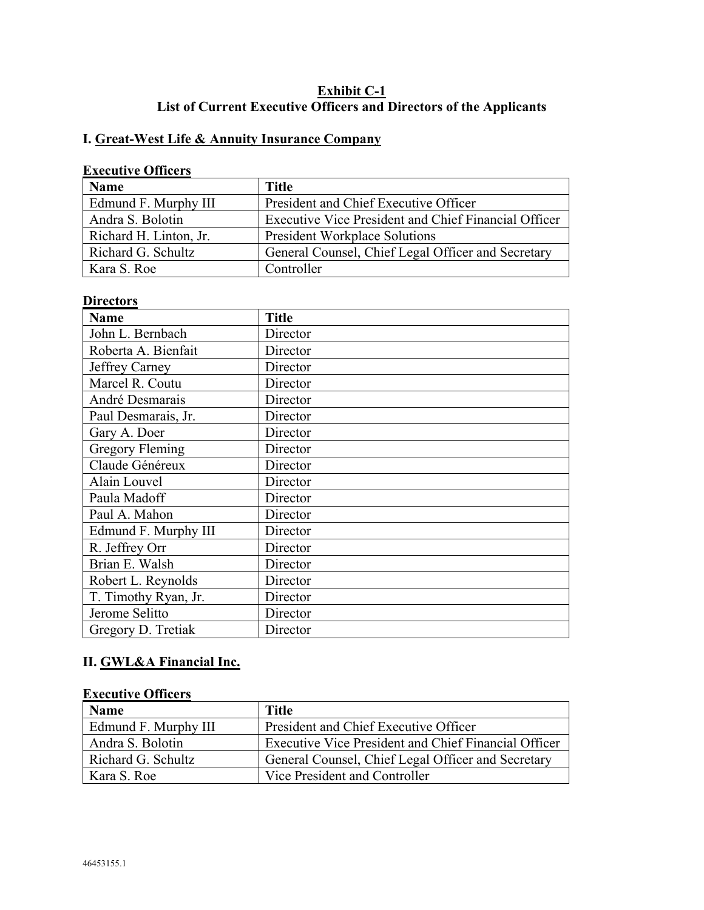### **Exhibit C-1 List of Current Executive Officers and Directors of the Applicants**

### **I. Great-West Life & Annuity Insurance Company**

### **Executive Officers**

| <b>Name</b>            | <b>Title</b>                                         |
|------------------------|------------------------------------------------------|
| Edmund F. Murphy III   | President and Chief Executive Officer                |
| Andra S. Bolotin       | Executive Vice President and Chief Financial Officer |
| Richard H. Linton, Jr. | <b>President Workplace Solutions</b>                 |
| Richard G. Schultz     | General Counsel, Chief Legal Officer and Secretary   |
| Kara S. Roe            | Controller                                           |

#### **Directors**

| рн сстогу              |              |
|------------------------|--------------|
| <b>Name</b>            | <b>Title</b> |
| John L. Bernbach       | Director     |
| Roberta A. Bienfait    | Director     |
| Jeffrey Carney         | Director     |
| Marcel R. Coutu        | Director     |
| André Desmarais        | Director     |
| Paul Desmarais, Jr.    | Director     |
| Gary A. Doer           | Director     |
| <b>Gregory Fleming</b> | Director     |
| Claude Généreux        | Director     |
| Alain Louvel           | Director     |
| Paula Madoff           | Director     |
| Paul A. Mahon          | Director     |
| Edmund F. Murphy III   | Director     |
| R. Jeffrey Orr         | Director     |
| Brian E. Walsh         | Director     |
| Robert L. Reynolds     | Director     |
| T. Timothy Ryan, Jr.   | Director     |
| Jerome Selitto         | Director     |
| Gregory D. Tretiak     | Director     |

### **II. GWL&A Financial Inc.**

#### **Executive Officers**

| <b>Name</b>          | <b>Title</b>                                                |
|----------------------|-------------------------------------------------------------|
| Edmund F. Murphy III | President and Chief Executive Officer                       |
| Andra S. Bolotin     | <b>Executive Vice President and Chief Financial Officer</b> |
| Richard G. Schultz   | General Counsel, Chief Legal Officer and Secretary          |
| Kara S. Roe          | Vice President and Controller                               |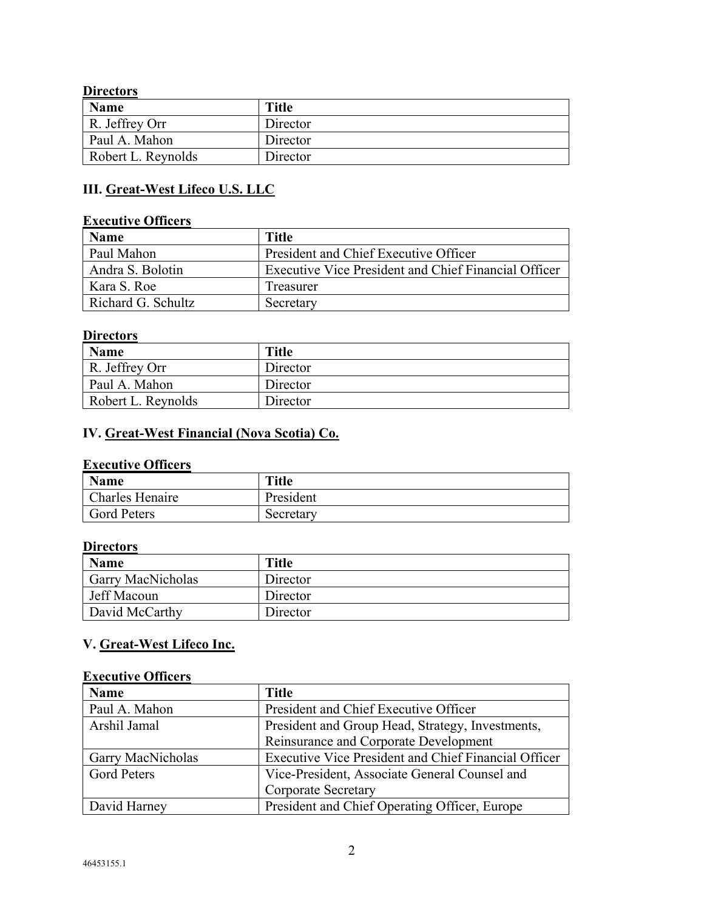### **Directors Name** Title<br> **R.** Jeffrey Orr Director R. Jeffrey Orr Director<br>
Paul A. Mahon Director Paul A. Mahon Robert L. Reynolds Director

# **III. Great-West Lifeco U.S. LLC**

### **Executive Officers**

| <b>Name</b>        | <b>Title</b>                                         |
|--------------------|------------------------------------------------------|
| Paul Mahon         | President and Chief Executive Officer                |
| Andra S. Bolotin   | Executive Vice President and Chief Financial Officer |
| Kara S. Roe        | Treasurer                                            |
| Richard G. Schultz | Secretary                                            |

#### **Directors**

| <b>Name</b>        | <b>Title</b> |
|--------------------|--------------|
| R. Jeffrey Orr     | Director     |
| Paul A. Mahon      | Director     |
| Robert L. Reynolds | Director     |

# **IV. Great-West Financial (Nova Scotia) Co.**

#### **Executive Officers**

| -------------------    |              |
|------------------------|--------------|
| <b>Name</b>            | <b>Title</b> |
| <b>Charles Henaire</b> | President    |
| Gord Peters            | Secretary    |

### **Directors**

| <b>Name</b>              | Title    |
|--------------------------|----------|
| <b>Garry MacNicholas</b> | Director |
| Jeff Macoun              | Director |
| David McCarthy           | Director |

### **V. Great-West Lifeco Inc.**

#### **Executive Officers**

| Name                     | <b>Title</b>                                                |
|--------------------------|-------------------------------------------------------------|
| Paul A. Mahon            | President and Chief Executive Officer                       |
| Arshil Jamal             | President and Group Head, Strategy, Investments,            |
|                          | Reinsurance and Corporate Development                       |
| <b>Garry MacNicholas</b> | <b>Executive Vice President and Chief Financial Officer</b> |
| <b>Gord Peters</b>       | Vice-President, Associate General Counsel and               |
|                          | <b>Corporate Secretary</b>                                  |
| David Harney             | President and Chief Operating Officer, Europe               |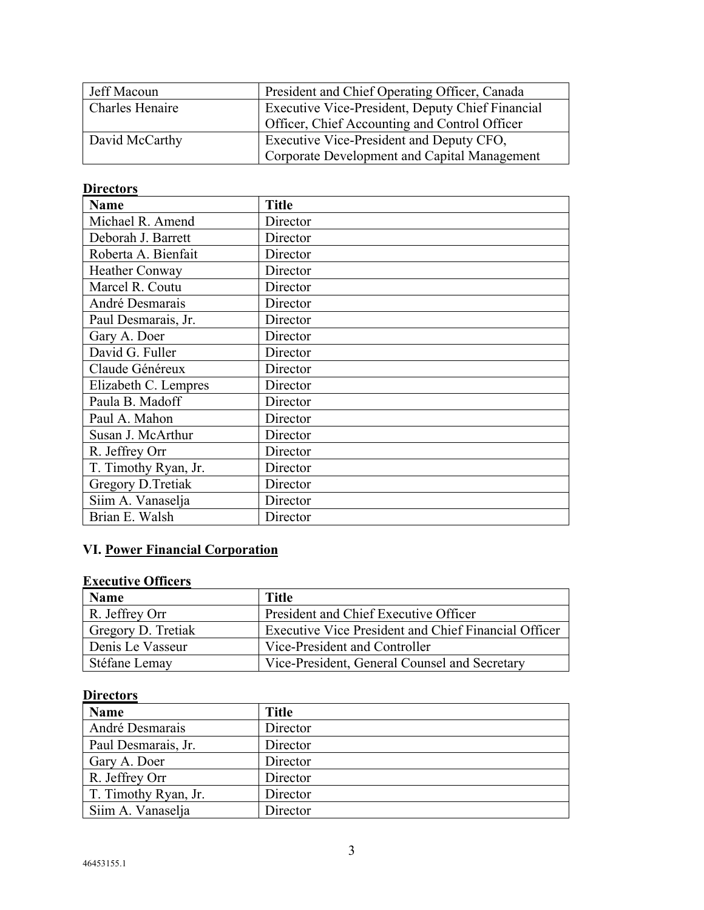| Jeff Macoun     | President and Chief Operating Officer, Canada    |
|-----------------|--------------------------------------------------|
| Charles Henaire | Executive Vice-President, Deputy Chief Financial |
|                 | Officer, Chief Accounting and Control Officer    |
| David McCarthy  | Executive Vice-President and Deputy CFO,         |
|                 | Corporate Development and Capital Management     |

# **Directors**

| <b>Name</b>          | <b>Title</b> |
|----------------------|--------------|
| Michael R. Amend     | Director     |
| Deborah J. Barrett   | Director     |
| Roberta A. Bienfait  | Director     |
| Heather Conway       | Director     |
| Marcel R. Coutu      | Director     |
| André Desmarais      | Director     |
| Paul Desmarais, Jr.  | Director     |
| Gary A. Doer         | Director     |
| David G. Fuller      | Director     |
| Claude Généreux      | Director     |
| Elizabeth C. Lempres | Director     |
| Paula B. Madoff      | Director     |
| Paul A. Mahon        | Director     |
| Susan J. McArthur    | Director     |
| R. Jeffrey Orr       | Director     |
| T. Timothy Ryan, Jr. | Director     |
| Gregory D.Tretiak    | Director     |
| Siim A. Vanaselja    | Director     |
| Brian E. Walsh       | Director     |

# **VI. Power Financial Corporation**

# **Executive Officers**

| <b>Name</b>        | <b>Title</b>                                         |
|--------------------|------------------------------------------------------|
| R. Jeffrey Orr     | President and Chief Executive Officer                |
| Gregory D. Tretiak | Executive Vice President and Chief Financial Officer |
| Denis Le Vasseur   | Vice-President and Controller                        |
| Stéfane Lemay      | Vice-President, General Counsel and Secretary        |

# **Directors**

| <b>Name</b>          | <b>Title</b> |
|----------------------|--------------|
| André Desmarais      | Director     |
| Paul Desmarais, Jr.  | Director     |
| Gary A. Doer         | Director     |
| R. Jeffrey Orr       | Director     |
| T. Timothy Ryan, Jr. | Director     |
| Siim A. Vanaselja    | Director     |